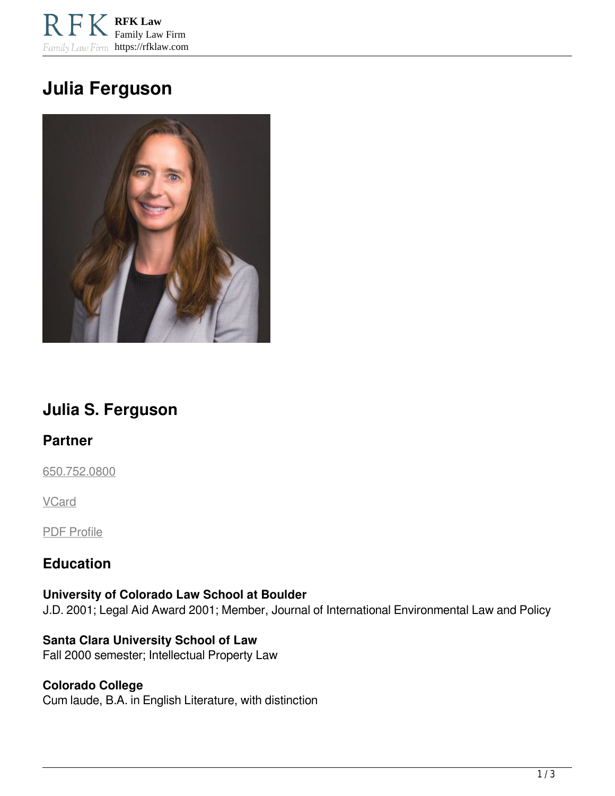**RFK Law** Family Law Firm Family Law Firm https://rfklaw.com

# **Julia Ferguson**



## **Julia S. Ferguson**

### **Partner**

[650.752.0800](tel:6507520800)

**VCard** 

PDF Profile

### **Education**

**University of Colorado Law School at Boulder** J.D. 2001; Legal Aid Award 2001; Member, Journal of International Environmental Law and Policy

**Santa Clara University School of Law** Fall 2000 semester; Intellectual Property Law

#### **Colorado College** Cum laude, B.A. in English Literature, with distinction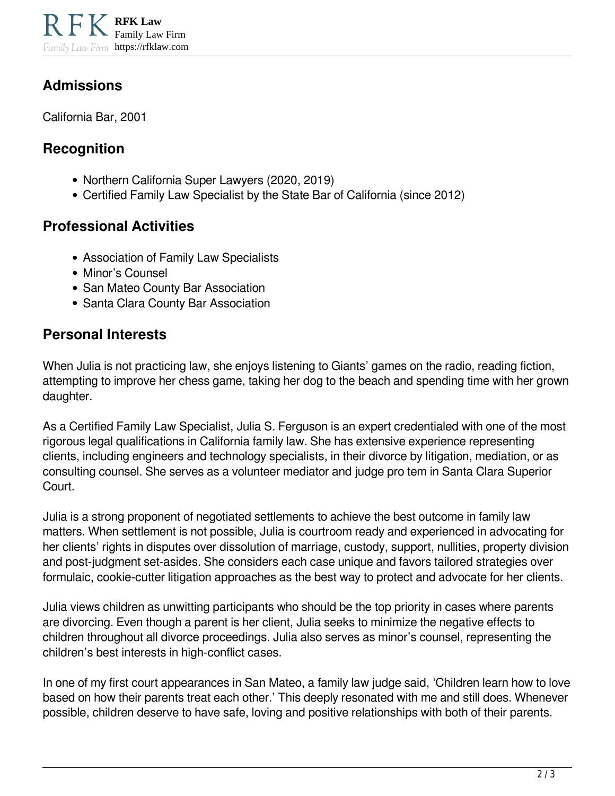### **Admissions**

California Bar, 2001

### **Recognition**

- Northern California Super Lawyers (2020, 2019)
- Certified Family Law Specialist by the State Bar of California (since 2012)

### **Professional Activities**

- Association of Family Law Specialists
- Minor's Counsel
- San Mateo County Bar Association
- Santa Clara County Bar Association

### **Personal Interests**

When Julia is not practicing law, she enjoys listening to Giants' games on the radio, reading fiction, attempting to improve her chess game, taking her dog to the beach and spending time with her grown daughter.

As a Certified Family Law Specialist, Julia S. Ferguson is an expert credentialed with one of the most rigorous legal qualifications in California family law. She has extensive experience representing clients, including engineers and technology specialists, in their divorce by litigation, mediation, or as consulting counsel. She serves as a volunteer mediator and judge pro tem in Santa Clara Superior Court.

Julia is a strong proponent of negotiated settlements to achieve the best outcome in family law matters. When settlement is not possible, Julia is courtroom ready and experienced in advocating for her clients' rights in disputes over dissolution of marriage, custody, support, nullities, property division and post-judgment set-asides. She considers each case unique and favors tailored strategies over formulaic, cookie-cutter litigation approaches as the best way to protect and advocate for her clients.

Julia views children as unwitting participants who should be the top priority in cases where parents are divorcing. Even though a parent is her client, Julia seeks to minimize the negative effects to children throughout all divorce proceedings. Julia also serves as minor's counsel, representing the children's best interests in high-conflict cases.

In one of my first court appearances in San Mateo, a family law judge said, 'Children learn how to love based on how their parents treat each other.' This deeply resonated with me and still does. Whenever possible, children deserve to have safe, loving and positive relationships with both of their parents.